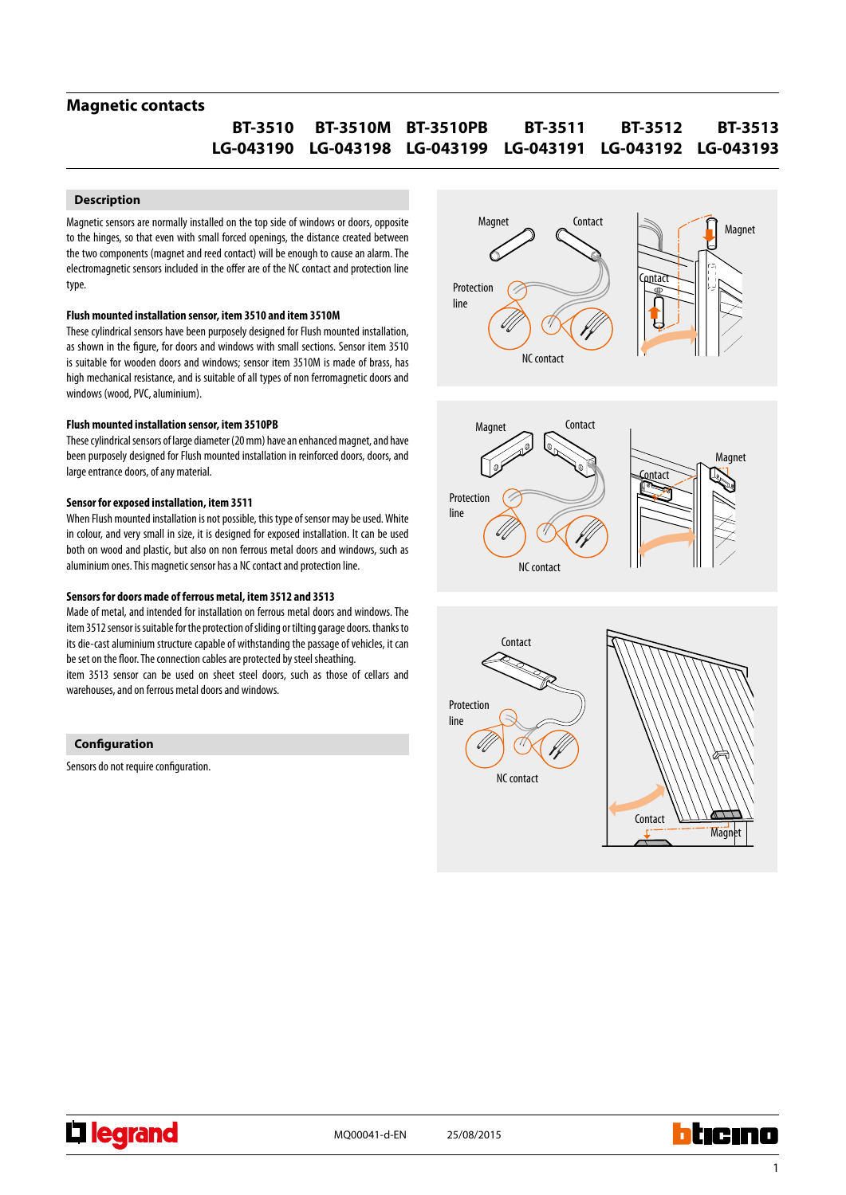## **Magnetic contacts**

#### **BT-3512 LG-043192 LG-043193 LG-043199 LG-043191 LG-043198 LG-043190 BT-3513 BT-3511 BT-3510PB BT-3510M BT-3510**

### **Description**

Magnetic sensors are normally installed on the top side of windows or doors, opposite to the hinges, so that even with small forced openings, the distance created between the two components (magnet and reed contact) will be enough to cause an alarm. The electromagnetic sensors included in the offer are of the NC contact and protection line type.

#### **Flush mounted installation sensor, item 3510 and item 3510M**

These cylindrical sensors have been purposely designed for Flush mounted installation, as shown in the figure, for doors and windows with small sections. Sensor item 3510 is suitable for wooden doors and windows; sensor item 3510M is made of brass, has high mechanical resistance, and is suitable of all types of non ferromagnetic doors and windows (wood, PVC, aluminium).

#### **Flush mounted installation sensor, item 3510PB**

These cylindrical sensors of large diameter (20 mm) have an enhanced magnet, and have been purposely designed for Flush mounted installation in reinforced doors, doors, and large entrance doors, of any material.

#### **Sensor for exposed installation, item 3511**

When Flush mounted installation is not possible, this type of sensor may be used. White in colour, and very small in size, it is designed for exposed installation. It can be used both on wood and plastic, but also on non ferrous metal doors and windows, such as aluminium ones. This magnetic sensor has a NC contact and protection line.

#### **Sensors for doors made of ferrous metal, item 3512 and 3513**

Made of metal, and intended for installation on ferrous metal doors and windows. The item 3512 sensor is suitable for the protection of sliding or tilting garage doors. thanks to its die-cast aluminium structure capable of withstanding the passage of vehicles, it can be set on the floor. The connection cables are protected by steel sheathing.

item 3513 sensor can be used on sheet steel doors, such as those of cellars and warehouses, and on ferrous metal doors and windows.



Sensors do not require configuration.